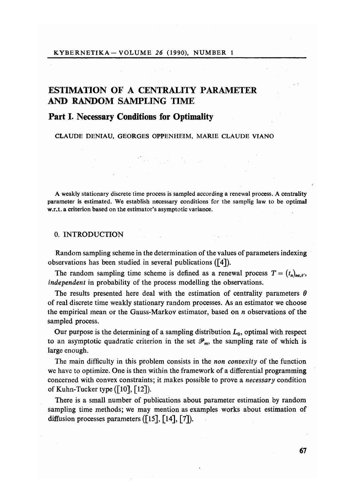# ESTIMATION **OF** A **C**ENTRALITY PARAMETER AND RANDOM SAMPLING TIME

## P**art I.** N**ecessary Conditions for Optimalit**y

CLAUDE DENIAU, GEORGES OPPENHEIM, MARIE CLAUDE VIANO

A weakly stationary discrete time process is sampled according a renewal process. A centrality parameter is estimated. We establish necessary conditions for the samplig law to be optimal w.r.t. a criterion based on the estimator's asymptotic variance.

## 0. INTRODUCTION

Random sampling scheme in the determination of the values of parameters indexing observations has been studied in several publications ([4]).

The random sampling time scheme is defined as a renewal process  $T = (t_n)_{n \in \mathcal{N}}$ , *independent* in probability of the process modelling the observations.

The results presented here deal with the estimation of centrality parameters  $\theta$ of real discrete time weakly stationary random processes. As an estimator we choose the empirical mean or the Gauss-Markov estimator, based on *n* observations of the sampled process*.* 

Our purpose is the determining of a sampling distribution  $L_0$ , optimal with respect to an asymptotic quadratic criterion in the set  $\mathcal{P}_m$ , the sampling rate of which is large enough.

The main difficulty in this problem consists in the *non convexity* of the function we have to optimize. One is then within the framework of a differential programming concerned with convex constraints; it makes possible to prove a *necessary* condition of Kuhn-Tucker type  $([10], [12])$ .

There is a small number of publications about parameter estimation by random sampling time methods; we may mention as examples works about estimation of diffusion processes parameters  $($ [15], [14], [7]).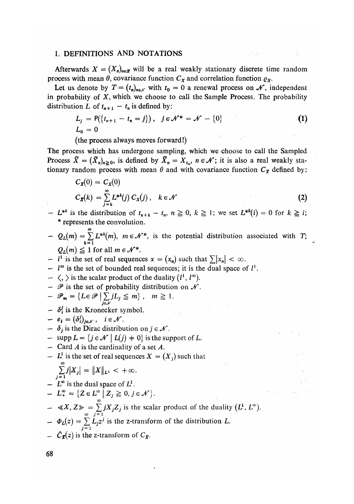#### 1. **DEF**IN**ITI**ON**S A**N**D** NOTATIONS

Afterwards  $X = (X_n)_{n \in \mathcal{X}}$  will be a real weakly stationary discrete time random process with mean  $\theta$ , covariance function  $C_X$  and correlation function  $\varrho_X$ .

Let us denote by  $T = (t_n)_{n \in \mathcal{N}}$  with  $t_0 = 0$  a renewal process on  $\mathcal{N}$ , independent in probability of *X,* which we choose to call the Sample Process. The probability distribution *L* of  $t_{n+1} - t_n$  is defined by:

$$
L_j = P({t_{n+1} - t_n = j}), \quad j \in \mathcal{N}^* = \mathcal{N} - {0}
$$
  

$$
L_0 = 0
$$
 (1)

(the process always moves forward!)

The process which has undergone sampling, which we choose to call the Sampled Process  $\tilde{X} = (\tilde{X}_n)_{n \geq 0}$ , is defined by  $\tilde{X}_n = X_{t_n}$ ,  $n \in \mathcal{N}$ ; it is also a real weakly stationary random process with mean  $\theta$  and with covariance function  $C_{\tilde{X}}$  defined by:

$$
C_{\mathbf{x}}(0) = C_{\mathbf{x}}(0)
$$
  
\n
$$
C_{\mathbf{x}}(k) = \sum_{j=k}^{\infty} L^{*k}(j) C_{\mathbf{x}}(j), \quad k \in \mathcal{N}
$$
 (2)

- *L*<sup>\*\*</sup> is the distribution of  $t_{n+k} t_n$ ,  $n \ge 0$ ,  $k \ge 1$ ; we set  $L^{**}(i) = 0$  for  $k \ge i$ ; \* represents the convolution.
- $Q_L(m) = \sum_{k=1}^{m} L^{*k}(m)$ ,  $m \in \mathcal{N}^*$ , is the potential distribution associated with *T*;  $Q_L(m) \leq 1$  for all  $m \in \mathcal{N}^*$ .  $Q_L(m) \ge 1$  lot all  $m \in \mathcal{N}$ .
- $I^1$  is the set of real sequences  $x = (x_n)$  such that  $\sum |x_n| < \infty$
- — *V°* is the set of bounded real sequences; it is the dual space of *I<sup>1</sup> .*
- $\langle , \rangle$  is the scalar product of the duality  $(l^1, l^{\infty})$ .
- $-\mathscr{P}$  is the set of probability distribution on  $\mathscr{N}$ .

$$
- \mathscr{P}_{m} = \{ L \in \mathscr{P} \mid \sum_{j \in \mathscr{N}} jL_{j} \leq m \}, \quad m \geq 1.
$$

- $\delta_i^j$  is the Kronecker symbol.<br>-  $e_i = (\delta_i^j)_{j \in \mathcal{N}}$ ,  $i \in \mathcal{N}$ .
- 
- $\delta_i$  is the Dirac distribution on  $j \in \mathcal{N}$ .
- $-$  supp  $L = \{j \in \mathcal{N} \mid L(j) \neq 0\}$  is the support of L.
- Card *A* is the cardinality of a set *A*.
- $L<sup>1</sup>$  is the set of real sequences  $X = (X_i)$  such that

$$
\sum_{j=1}^{\infty} j |X_j| = ||X||_{L^1} < +\infty.
$$

- $L^{\infty}$  is the dual space of  $L^1$ .
- $L_+^{\infty} = \{ Z \in L^{\infty} \mid Z_i \geq 0, j \in \mathcal{N} \}.$
- $\ll X$ ,  $Z \gg = \sum_{j=1}^{\infty} jX_jZ_j$  is the scalar product of the duality  $(L^1, L^{\infty})$ .<br>  $\Phi_L(z) = \sum_{j=1}^{\infty} L_j z^j$  is the z-transform of the distribution *L*.
- $\hat{C}_{\mathbf{x}}(z)$  is the z-transform of  $C_{\mathbf{x}}$ *.*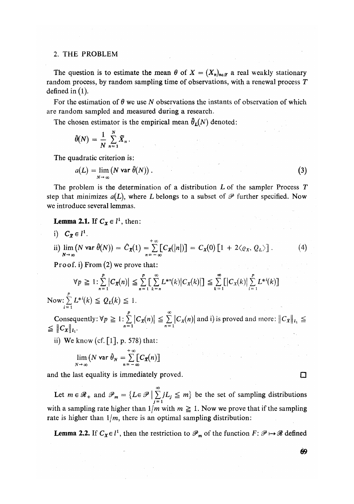#### 2. THE PROBLEM

The question is to estimate the mean  $\theta$  of  $X = (X_n)_{n \in \mathcal{X}}$  a real weakly stationary random process, by random sampling time of observations, with a renewal process *T*  defined in  $(1)$ .

For the estimation of *6* we use *N* observations the instants of observation of which are random sampled and measured during a research.

The chosen estimator is the empirical mean  $\hat{\theta}_L(N)$  denoted:

$$
\widehat{\theta}(N) = \frac{1}{N} \sum_{n=1}^{N} \widetilde{X}_n.
$$

The quadratic criterion is:

$$
a(L) = \lim_{N \to \infty} (N \text{ var } \hat{\theta}(N)).
$$
 (3)

The problem is the determination of a distribution *L* of the sampler Process *T*  step that minimizes  $a(L)$ , where L belongs to a subset of  $P$  further specified. Now we introduce several lemmas.

**Lemma 2.1.** If  $C_x \in l^1$ , then:

i) 
$$
C_{\mathbf{X}} \in l^{1}
$$
.  
\nii)  $\lim_{N \to \infty} (N \text{ var } \hat{\theta}(N)) = C_{\mathbf{X}}(1) = \sum_{n=-\infty}^{+\infty} [C_{\mathbf{X}}(|n|)] = C_{\mathbf{X}}(0) [1 + 2 \langle \varrho_{X}, \varrho_{L} \rangle].$  (4)

Proof, i) From (2) we prove that:

$$
\forall p \geq 1: \sum_{n=1}^{p} |C_{\mathbf{x}}(n)| \leq \sum_{n=1}^{p} \left[\sum_{k=n}^{\infty} L^{*n}(k) |C_{\mathbf{x}}(k)|\right] \leq \sum_{k=1}^{\infty} \left[|C_{\mathbf{x}}(k)|\sum_{i=1}^{p} L^{*i}(k)\right]
$$
  
Now:  $\sum_{i=1}^{p} L^{*i}(k) \leq Q_L(k) \leq 1$ .

Consequently:  $\forall p \geq 1$ :  $\sum_{n=1}^{\infty} |C_x(n)| \leq \sum_{n=1}^{\infty} |C_x(n)|$  and i) is proved and more:  $||C_x||_{I_1} \leq$ <br>  $\leq ||C_x||_{I_1}$ .

ii) We know (cf.  $\lceil 1 \rceil$ , p. 578) that:

$$
\lim_{N\to\infty}\big(N\,\text{var}\,\,\widehat{\theta}_N=\sum_{n=-\infty}^{+\infty}\bigl[C_{\,\mathbf{X}}(n)\bigr]
$$

and the last equality is immediately proved.  $\Box$ 

Let  $m \in \mathcal{R}_+$  and  $\mathcal{P}_m = \{L \in \mathcal{P} \mid \sum_{j=1}^{\infty} jL_j \leq m\}$  be the set of sampling distributions with a sampling rate higher than  $1/m$  with  $m \ge 1$ . Now we prove that if the sampling rate is higher than  $1/m$ , there is an optimal sampling distribution:

**Lemma** 2.2. If  $C_\chi \in \iota^*$ , then the restriction to  $\mathscr{P}_m$  of the function  $F: \mathscr{P} \mapsto \mathscr{R}$  defined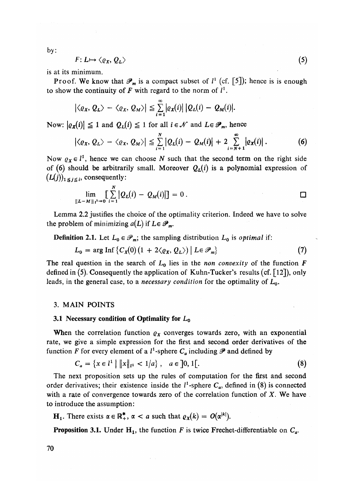by:

$$
F: L \mapsto \langle \varrho_X, \varrho_L \rangle \tag{5}
$$

is at its minimum.

Proof. We know that  $\mathcal{P}_m$  is a compact subset of  $l^1$  (cf. [5]); hence is is enough to show the continuity of F with regard to the norm of  $l^1$ .

$$
|\langle \varrho_X, \varrho_L \rangle - \langle \varrho_X, \varrho_M \rangle| \leq \sum_{i=1}^{\infty} |\varrho_X(i)| |\varrho_L(i) - \varrho_M(i)|.
$$

Now:  $| \varrho_X(i)| \leq 1$  and  $Q_L(i) \leq 1$  for all  $i \in \mathcal{N}$  and  $L \in \mathcal{P}_m$ , hence

$$
\left|\langle \varrho_X, \varrho_L \rangle - \langle \varrho_X, \varrho_M \rangle \right| \leq \sum_{i=1}^N \left| \varrho_L(i) - \varrho_M(i) \right| + 2 \sum_{i=N+1}^\infty \left| \varrho_X(i) \right|.
$$
 (6)

Now  $\varrho_X \in l^1$ , hence we can choose *N* such that the second term on the right side of (6) should be arbitrarily small. Moreover  $Q_L(i)$  is a polynomial expression of  $(L(j))_{1 \leq j \leq i}$ , consequently:

$$
\lim_{|L-M||_{1}^{1}\to 0}\left[\sum_{i=1}^{N}|Q_{L}(i)-Q_{M}(i)|\right]=0.
$$

Lemma 2.2 justifies the choice of the optimality criterion. Indeed we have to solve the problem of minimizing  $a(L)$  if  $L \in \mathscr{P}_m$ .

**Definition 2.1.** Let  $L_0 \in \mathcal{P}_m$ ; the sampling distribution  $L_0$  is *optimal* if:

$$
L_0 = \arg \operatorname{Inf} \left\{ C_X(0) \left( 1 + 2 \langle \varrho_X, \varrho_L \rangle \right) \middle| L \in \mathcal{P}_m \right\} \tag{7}
$$

The real question in the search of  $L_0$  lies in the *non convexity* of the function  $\vec{F}$ defined in (5). Consequently the application of Kuhn-Tucker's results (cf. [12]), only leads, in the general case, to a *necessary condition* for the optimality of *L*0.

### 3. MAIN POINTS

#### **3.1** Necessary **condition of** O**ptimality for** *L*<sup>0</sup>

When the correlation function  $\rho_X$  converges towards zero, with an exponential rate, we give a simple expression for the first and second order derivatives of the function *F* for every element of a  $l^1$ -sphere  $C_a$  including  $\mathscr P$  and defined by

$$
C_a = \{x \in l^1 \mid ||x||_{l^1} < 1/a\}, \quad a \in ]0, 1[.
$$
\n(8)

The next proposition sets up the rules of computation for the first and second order derivatives; their existence inside the  $l^1$ -sphere  $C_a$ , defined in (8) is connected with a rate of convergence towards zero of the correlation function of *X.* We have to introduce the assumption:

**H**<sub>1</sub>. There exists  $\alpha \in \mathbb{R}^*$ ,  $\alpha < a$  such that  $\varrho_X(k) = O(\alpha^{|k|})$ .

**Proposition 3.1.** Under  $H_1$ , the function *F* is twice Frechet-differentiable on  $C_a$ .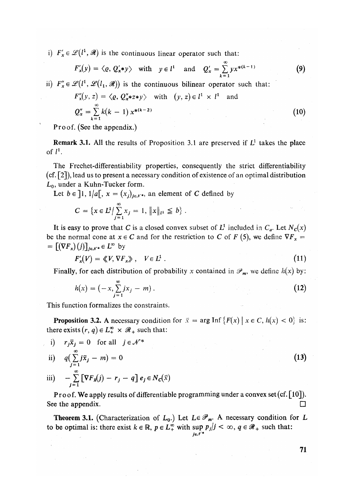i)  $F'_x \in \mathcal{L}(l^1, \mathcal{R})$  is the continuous linear operator such that:

$$
F'_x(y) = \langle \varrho, Q'_x * y \rangle
$$
 with  $y \in l^1$  and  $Q'_x = \sum_{k=1}^{\infty} y x^{*(k-1)}$  (9)

ii)  $F_x \in \mathcal{L}(l^1, \mathcal{L}(l_1, \mathcal{R}))$  is the continuous bilinear operator such that:

$$
F''_x(y, z) = \langle \varrho, Q''_x * z * y \rangle \quad \text{with} \quad (y, z) \in l^1 \times l^1 \quad \text{and}
$$
  

$$
Q''_x = \sum_{k=1}^{\infty} k(k-1) x^{*(k-2)}
$$
 (10)

Proof. (See the appendix*.*)

R**emark** 3.1. All the results of Proposition 3.1 are preserved if *L*<sup>1</sup> takes the place of  $l^1$ .

The Frechet-differentiability properties, consequently the strict differentiability (cf. [2]), lead us to present a necessary condition of existence of an optimal distribution *L*0, under a Kuhn-Tucker form.

Let  $b \in [1, 1/a]$ ,  $x = (x_i)_{i \in \mathcal{N}^*}$ , an element of C defined by

$$
C = \{x \in L^1 / \sum_{j=1}^{\infty} x_j = 1, ||x||_{L^1} \leq b\}.
$$

It is easy to prove that C is a closed convex subset of  $L^1$  included in  $C_a$ . Let  $N_c(x)$ be the normal cone at  $x \in C$  and for the restriction to C of F (5), we define  $\nabla F_x$  =  $= \left[ (\nabla F_x)(j) \right]_{i \in \mathcal{N}^*} \in L^{\infty}$  by

$$
F'_*(V) = \langle\!\langle V, \nabla F_x \rangle\!\rangle, \quad V \in L^1 \ . \tag{11}
$$

Finally, for each distribution of probability x contained in  $\mathcal{P}_m$ , we define  $h(x)$  by:

$$
h(x) = (-x, \sum_{j=1}^{\infty} jx_j - m).
$$
 (12)

This function formalizes the constraints.

**Proposition 3.2.** A necessary condition for  $\bar{x} = \arg \text{Inf} \{ F(x) \mid x \in C, h(x) < 0 \}$  is: there exists  $(r, q) \in L^{\infty}_+ \times \mathcal{R}_+$  such that:

i) 
$$
r_j \overline{x}_j = 0
$$
 for all  $j \in \mathcal{N}^*$   
\nii)  $q(\sum_{j=1}^{\infty} j\overline{x}_j - m) = 0$  (13)  
\niii)  $\sum_{j=1}^{\infty} [\nabla F_j(x)] \cdot x = \sigma^2 \sigma^2 \sigma^2 \left( \overline{x} \right)$ 

iii) 
$$
- \sum_{j=1}^{\infty} \left[ \nabla F_{\overline{x}}(j) - r_j - q \right] e_j \in N_c(\overline{x})
$$

**Pr**oof**.** We apply results of differentiable programming under a convex set(cf. [10]). See the appendix.  $\Box$ 

**Theorem 3.1.** (Characterization of  $L_0$ .) Let  $L \in \mathcal{P}_m$ . A necessary condition for L to be optimal is: there exist  $k \in \mathbb{R}$ ,  $p \in L_+^{\infty}$  with sup  $p_j/j < \infty$ ,  $q \in \mathcal{R}_+$  such that: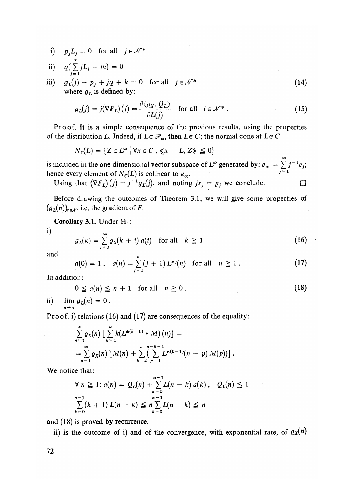i)  $p_j L_j = 0$  for all  $j \in \mathcal{N}^*$ 

ii) 
$$
q\left(\sum_{j=1}^{\infty} jL_j - m\right) = 0
$$

m)  $g_L(j) - p_j + jq + k = 0$  for all  $j \in \mathcal{N}^+$  (14) where  $g_L$  is defined by:

$$
g_L(j) = j(\nabla F_L)(j) = \frac{\partial \langle \varrho_X, \varrho_L \rangle}{\partial L(j)} \quad \text{for all} \quad j \in \mathcal{N}^* \,.
$$
 (15)

Proof*.* It is a simple consequence of the previous results, using the properties of the distribution *L*. Indeed, if  $L \in \mathcal{P}_m$ , then  $L \in C$ ; the normal cone at  $L \in C$ 

$$
N_c(L) = \{ Z \in L^{\infty} \mid \forall x \in C , \langle \langle x - L, Z \rangle \rangle \leq 0 \}
$$

is included in the one dimensional vector subspace of  $L^{\infty}$  generated by:  $e_{\infty} = \sum_{j=1}^{\infty} j^{-1} e_j$ ;<br>hence every element of  $N_{-}(I)$  is colinear to e hence every element of  $N_c(L)$  is colinear to  $e_\infty$ . *~*

Using that  $(\nabla F_L)(j) = j^{-1}g_L(j)$ , and noting  $jr_j = p_j$  we conclude.

Before drawing the outcomes of Theorem 3.1, we will give some properties of  $(g_L(n))_{n \in \mathcal{N}}$ , i.e. the gradient of *F*.

**Corollary 3.1.** Under  $H_1$ :

i)

$$
g_L(k) = \sum_{i=0}^{\infty} \varrho_{\mathbf{x}}(k+i) a(i) \quad \text{for all} \quad k \ge 1
$$
 (16)

and

$$
a(0) = 1, \quad a(n) = \sum_{j=1}^{n} (j+1) L^{*j}(n) \quad \text{for all} \quad n \geq 1.
$$
 (17)

In addition:

$$
0 \le a(n) \le n + 1 \quad \text{for all} \quad n \ge 0. \tag{18}
$$

ii)  $\lim g_L(n) = 0$ .  $\sim$   $\sim$ 

Proof,  $i$ ) relations (16) and (17) are consequences of the equality:

$$
\sum_{n=1}^{\infty} \varrho_X(n) \left[ \sum_{k=1}^{n} k(L^{*(k-1)} * M)(n) \right] =
$$
\n
$$
= \sum_{n=1}^{\infty} \varrho_X(n) \left[ M(n) + \sum_{k=2}^{n} \left( \sum_{p=1}^{n-k+1} L^{*(k-1)}(n-p) M(p) \right) \right].
$$

We notice that:

$$
\forall n \ge 1: a(n) = Q_L(n) + \sum_{k=0}^{n-1} L(n-k) a(k), Q_L(n) \le 1
$$
  

$$
\sum_{k=0}^{n-1} (k+1) L(n-k) \le n \sum_{k=0}^{n-1} L(n-k) \le n
$$

and (18) is proved by recurrence*.* 

ii) is the outcome of i) and of the convergence, with exponential rate, of  $\varrho_X(n)$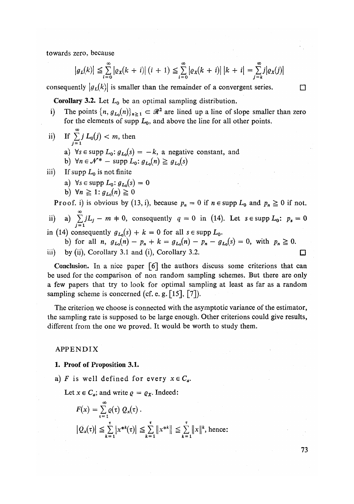towards zero, because

$$
|g_L(k)| \leq \sum_{i=0}^{\infty} |g_X(k+i)| (i+1) \leq \sum_{i=0}^{\infty} |g_X(k+i)| |k+i| = \sum_{j=k}^{\infty} j |g_X(j)|
$$

consequently  $|g_L(k)|$  is smaller than the remainder of a convergent series.

**Corollary 3.2.** Let  $L_0$  be an optimal sampling distribution.

- i) The points  $\{n, g_{L_0}(n)\}_{n \geq 1} \subset \mathcal{R}^2$  are lined up a line of slope smaller than zero for the elements of supp  $L_0$ , and above the line for all other points.
- ii) If  $\sum_{j=0}^{\infty} j L_0(j) < m$ , then **i = i** 
	- a)  $\forall s \in \text{supp } L_0: g_{L_0}(s) = -k$ , a negative constant, and
	- b)  $\forall n \in \mathcal{N}^*-\text{supp } L_0: g_{L_0}(n) \geq g_{L_0}(s)$
- iii) If supp  $L_0$  is not finite
	- a)  $\forall s \in \text{supp } L_0: g_{L_0}(s) = 0$
	- $\forall n \geq 1$ ;  $q_{L_0}(n) \geq 0$

Proof. i) is obvious by (13, i), because  $p_n = 0$  if  $n \in \text{supp } L_0$  and  $p_n \ge 0$  if not.

ii) a)  $\sum_{i=0}^{\infty} jL_i - m + 0$ , consequently  $q = 0$  in (14). Let  $s \in \text{supp } L_0$ :  $p_s = 0$ 

in (14) consequently  $g_{L_0}(s) + k = 0$  for all  $s \in \text{supp } L_0$ .

b) for all *n,*  $g_{L_0}(n) - p_n + k = g_{L_0}(n) - p_n - g_{L_0}(s) = 0$ , with  $p_n \ge 0$ . iii) by (ii), Corollary 3.1 and (i), Corollary 3.2.  $\Box$ 

Conclusion. In a nice paper [6] the authors discuss some criterions that can be used for the comparison of non random sampling schemes. But there are only a few papers that try to look for optimal sampling at least as far as a random sampling scheme is concerned (cf. e. g.  $[15]$ ,  $[7]$ ).

The criterion we choose is connected with the asymptotic variance of the estimator, the sampling rate is supposed to be large enough. Other criterions could give results, different from the one we proved. It would be worth to study them.

APPENDIX

- 1. Proof of Proposition 3.1.
- a) F is well defined for every  $x \in C_a$ .

Let  $x \in C_a$ ; and write  $\rho = \rho_X$ . Indeed:

$$
F(x) = \sum_{\tau=1}^{\infty} \varrho(\tau) Q_x(\tau).
$$
  

$$
|\tilde{Q}_x(\tau)| \leq \sum_{k=1}^{\tau} |x^{*k}(\tau)| \leq \sum_{k=1}^{\tau} ||x^{*k}|| \leq \sum_{k=1}^{\tau} ||x||^k, \text{ hence:}
$$

**73**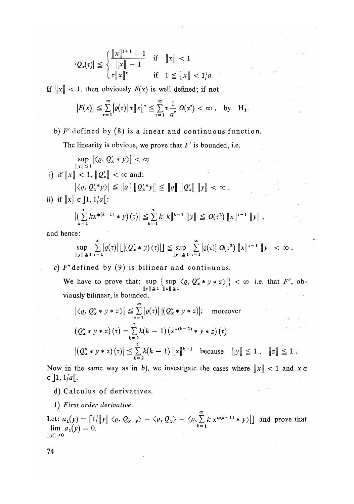$$
|Q_x(\tau)| \leq \begin{cases} \frac{\|x\|^{t+1} - 1}{\|x\| - 1} & \text{if } \|x\| < 1\\ \tau \|x\|^{t} & \text{if } 1 \leq \|x\| < 1/a \end{cases}
$$

If  $||x|| < 1$ , then obviously  $F(x)$  is well defined; if not

$$
|F(x)| \leq \sum_{\tau=1}^{\infty} | \varrho(\tau)| \tau \|x\|^{r} \leq \sum_{\tau=1}^{\infty} \tau \frac{1}{a^{\tau}} O(\alpha^{\tau}) < \infty , \text{ by } H_1.
$$

## b) F' defined by (8) is a linear and continuous function.

The linearity is obvious, we prove that *E*' is bounded, i.e.

$$
\sup_{\|y\| \le 1} |\langle \varrho, Q'_x * y \rangle| < \infty
$$
  
\n
$$
\text{i) if } \|x\| < 1, \|Q'_x\| < \infty \text{ and:}
$$
  
\n
$$
|\langle \varrho, Q'_x * y \rangle| \le \| \varrho \| \|Q'_x * y\| \le \| \varrho \| \|Q'_x \| \| y\| < \infty.
$$
  
\n
$$
\text{ii) if } \|x\| \in ]1, 1/a[:
$$

$$
\left| \left( \sum_{k=1}^{\tau} k x^{*(k-1)} * y \right) (\tau) \right| \leq \sum_{k=1}^{\tau} k \|k\|^{k-1} \|y\| \leq O(\tau^2) \|x\|^{r-1} \|y\|,
$$

and hence:

$$
\sup_{\|y\| \leq 1} \sum_{\tau=1}^{\infty} \left| \varrho(\tau) \right| \left[ \left| \left( Q'_x * y \right) (\tau) \right| \right] \leq \sup_{\|y\| \leq 1} \sum_{\tau=1}^{\infty} \left| \varrho(\tau) \right| O(\tau^2) \|x\|^{ \tau-1} \|y\| < \infty.
$$

*c) E*"defined by (9) is bilinear and continuous.

We have to prove that: sup  $\{ \sup \{\langle \varrho, Q''_x * y * z \rangle \} \} < \infty$  i.e. that  $F''$ , ob- $\|y\| \leq 1$   $\|z\| \leq 1$ viously bilinear, is bounded*.* 

$$
\left| \langle \varrho, Q''_{x} * y * z \rangle \right| \leq \sum_{\tau=1}^{\infty} \left| \varrho(\tau) \right| \left| (Q''_{x} * y * z) \right|; \quad \text{moreover}
$$
\n
$$
\left( Q''_{x} * y * z \right)(\tau) = \sum_{k=2}^{\tau} k(k-1) \left( x^{*(k-2)} * y * z \right)(\tau)
$$
\n
$$
\left| (Q''_{x} * y * z)(\tau) \right| \leq \sum_{k=2}^{\tau} k(k-1) \left\| x \right\|^{k-1} \quad \text{because} \quad \left\| y \right\| \leq 1, \quad \left\| z \right\| \leq 1.
$$

Now in the same way as in *b*), we investigate the cases where  $||x|| < 1$  and  $x \in$  $\in$  ]1, 1/*a*[.

- d) Calculus of derivatives.
- 1) *First order derivative.*

Let:  $a_1(y) = \left[\frac{1}{\|y\|} \langle \varrho, Q_{x+y} \rangle - \langle \varrho, Q_x \rangle - \langle \varrho, \sum_{k=1}^{\infty} k x^{*(k-1)} * y \rangle \right]$  and prove that  $\lim a_1(y) = 0.$   $k=1$  $\|\mathbf{y}\|$   $\rightarrow$  0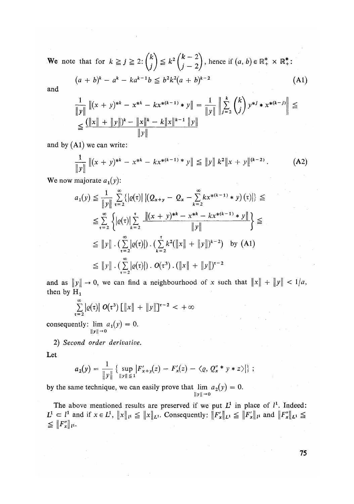We note that for  $k \geq j \geq 2$ :  $\binom{n}{i} \leq k^2 \binom{n}{i} \binom{2}{n}$ , hence if  $(a, b) \in \mathbb{R}^*$ ,  $\times \mathbb{R}^*$ .

$$
(a + b)^{k} - a^{k} - ka^{k-1}b \leq b^{2}k^{2}(a + b)^{k-2}
$$
 (A1)

and

$$
\frac{1}{\|y\|} \left\|(x+y)^{*k} - x^{*k} - kx^{*(k-1)} * y\right\| = \frac{1}{\|y\|} \left\|\sum_{j=2}^k {k \choose j} y^{*j} * x^{*(k-j)}\right\| \le
$$
  
\n
$$
\le \frac{(\|x\| + \|y\|)^k - \|x\|^k - k\|x\|^{k-1} \|y\|}{\|y\|}
$$

and by  $(A1)$  we can write:

$$
\frac{1}{\|y\|}\left\|(x+y)^{*k}-x^{*k}-kx^{*(k-1)*}y\right\| \le \|y\|k^2\|x+y\|^{(k-2)}.
$$
 (A2)

 $\ddotsc$  $W$  now majorate  $a_1(y)$ :

$$
a_1(y) \leq \frac{1}{\|y\|} \sum_{\tau=2}^{\infty} \{|e(\tau)| |(Q_{x+y} - Q_x - \sum_{k=2}^{\infty} kx^{*(k-1)} * y)(\tau)|\} \leq
$$
  
\n
$$
\leq \sum_{\tau=2}^{\infty} \{|e(\tau)| \sum_{k=2}^{\tau} \frac{\|(x+y)^{*k} - x^{*k} - kx^{*(k-1)} * y\|}{\|y\|}\} \leq
$$
  
\n
$$
\leq \|y\| \cdot (\sum_{\tau=2}^{\infty} |e(\tau)|) \cdot (\sum_{k=2}^{\tau} k^2 (\|x\| + \|y\|)^{k-2}) \text{ by (A1)}
$$
  
\n
$$
\leq \|y\| \cdot (\sum_{\tau=2}^{\infty} |e(\tau)|) \cdot O(\tau^3) \cdot (\|x\| + \|y\|)^{\tau-2}
$$

and as  $||y|| \to 0$ , we can find a neighbourhood of x such that  $||x|| + ||y|| < 1/a$ , then by  $H_1$ 

$$
\sum_{\tau=2}^{\infty} |q(\tau)| \ O(\tau^3) \left[ \Vert x \Vert + \Vert y \Vert \right]^{1/2} < +\infty
$$

consequently:  $\lim a_1(y) = 0$ . Ibll-o

2) *Second order derivative.* 

$$
a_2(y) = \frac{1}{\|y\|} \left\{ \sup_{\|y\| \le 1} |F'_{x+y}(z) - F'_x(z) - \langle \varrho, Q''_x * y * z \rangle \right\};
$$

by the same technique, we can easily prove that  $\lim_{\|y\| \to 0} \alpha_2(y)$ 

The above mentioned results are preserved if we put  $L^1$  in place of  $l^1$ . Indeed:  $L^1 \subset L^1$  and if  $x \in L^1$ ,  $||x||_{L^1} \leq ||x||_{L^1}$ . Consequently:  $||F'_x||_{L^1} \leq ||F'_x||_{L^1}$  and  $||F'_x||_{L^1} \leq ||F'_x||_{L^1}$  $\leq \|F''_x\|_{l^1}.$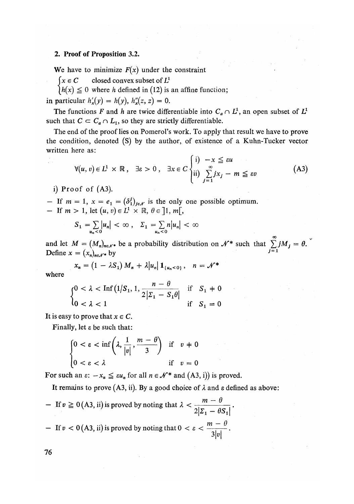### **2. Proof of Proposition** 3.2.

We have to minimize  $F(x)$  under the constraint

 $\int x \in C$  closed convex subset of  $L^1$ 

 $\begin{cases} h(x) \leq 0 \text{ where } h \text{ defined in (12) is an affine function;} \\ h(x) \leq 0 \text{ where } h \text{ defined in (12) is an affine function;} \end{cases}$ 

in particular  $h'_x(y) = h(y)$ ,  $h''_x(z, z) = 0$ .

The functions F and h are twice differentiable into  $C_a \cap L^1$ , an open subset of  $L^1$ such that  $C \subset C_a \cap L_1$ , so they are strictly differentiable.

The end of the proof lies on Pomerol's work. To apply that result we have to prove the condition, denoted (S) by the author, of existence of a Kuhn-Tucker vector written here as:

$$
\forall (u, v) \in L^1 \times \mathbb{R}, \quad \exists \varepsilon > 0 \,, \quad \exists x \in C \begin{cases} i) & -x \leq \varepsilon u \\ ii) & \sum_{j=1}^{\infty} jx_j - m \leq \varepsilon v \end{cases} \tag{A3}
$$

i) Proof of  $(A3)$ .

 $\frac{1}{10}$  $-$  If  $m = 1$ ,  $x = e_1 = (o_1)_{j \in \mathcal{N}}$  is the only one possible optimum. - If  $m > 1$ , let  $(u, v) \in L^1 \times \mathbb{R}, \theta \in ]1, m[,$ 

$$
S_1 = \sum_{u_n < 0} |u_n| < \infty \,, \quad \Sigma_1 = \sum_{u_n < 0} n |u_n| < \infty
$$

**«" < o «" < o 00**  and let  $M = \frac{M_n}{n \epsilon}$  be a probability distribution on  $J^*$  such that  $\sum_{i=1}^{n} J^M j = 0$ . Define  $x = (x_n)_{n \in \mathcal{N}^*}$  by .

$$
x_n = (1 - \lambda S_1) M_n + \lambda |u_n| \mathbf{1}_{\{u_n < 0\}}, \quad n = \mathcal{N}^*
$$

where

$$
\begin{cases} 0 < \lambda < \text{Inf}\left(1/S_1, 1, \frac{n-\theta}{2|_{_{_{1}}}-S_1\theta|} \text{ if } S_1 \neq 0 \\ 0 < \lambda < 1 \end{cases}
$$

It is easy to prove that  $x \in C$ .

Finally, let e be such that:

$$
\begin{cases} 0 < \varepsilon < \inf\left(\lambda, \frac{1}{|v|}, \frac{m-\theta}{3}\right) & \text{if } v \neq 0 \\ 0 < \varepsilon < \lambda \end{cases}
$$

For such an  $\varepsilon$ :  $-x_n \leq \varepsilon u_n$  for all  $n \in \mathcal{N}^*$  and (A3, i)) is proved.

It remains to prove  $(A3, ii)$ . By a good choice of  $\lambda$  and  $\varepsilon$  defined as above:

\n- If 
$$
v \ge 0
$$
 (A3, ii) is proved by noting that  $\lambda < \frac{m - \theta}{2|Z_1 - \theta S_1|}$ .
\n- If  $v < 0$  (A3, ii) is proved by noting that  $0 < \varepsilon < \frac{m - \theta}{3|v|}$ .
\n

76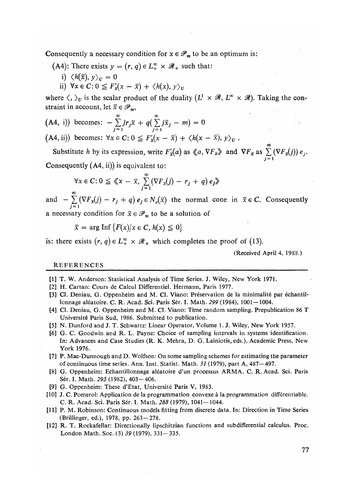Consequently a necessary condition for  $x \in \mathcal{P}_m$  to be an optimum is:

- (A4): There exists  $y = (r, q) \in L^{\infty}_+ \times \mathcal{R}_+$  such that:
	- i)  $\langle h(\bar{x}), y \rangle_U = 0$
	- ii)  $\forall x \in C: 0 \leq F_x'(x \overline{x}) + \langle h(x), y \rangle_y$

where  $\langle , \rangle_U$  is the scalar product of the duality  $(L^1 \times \mathcal{R}, L^{\infty} \times \mathcal{R})$ . Taking the constraint in account, let  $\bar{x} \in \mathcal{P}_m$ ,

(A4, i)) becomes: 
$$
-\sum_{j=1}^{\infty} jr_j \bar{x} + q(\sum_{j=1}^{\infty} j\bar{x}_j - m) = 0
$$

 $J = 1$   $J = 1$   $J = 1$   $J = 1$   $J = 1$   $J = 1$   $J = 1$   $J = 1$   $J = 1$   $J = 1$ 

Substitute *h* by its expression, write  $F'_x(a)$  as  $\ll a$ ,  $\nabla F_{\bar{x}} \gg a$  and  $\nabla F_{\bar{x}}$  as  $\sum^{\infty} (\nabla F_{\bar{x}}(j)) e_j$ . **j = i**  Consequently (A4, ii)) is equivalent to:

$$
\forall x \in C : 0 \leq \langle x - \bar{x}, \sum_{i=1}^{\infty} (\nabla F_x(j) - r_j + q) e_j \rangle
$$

and  $-\sum_{j=1}^{\infty} (\nabla F_{\bar{x}}(j) - r_j + q) e_j \in N_c(\bar{x})$  the normal cone in  $\bar{x} \in C$ . Consequently a necessary condition for  $\bar{x} \in \mathcal{P}_m$  to be a solution of

 $\bar{x} = \arg \text{Inf} \{F(x) | x \in C, h(x) \leq 0\}$ 

is: there exists  $(r, q) \in L_+^{\infty} \times \mathcal{R}_+$  which completes the proof of (13)*.* 

(Received April 4, 1988.)

#### REFERENCES

- [1] T. W. Anderson: Statistical Analysis of Time Series. J. Wiley, New York 1971.
- [2] H. Cartan: Cours de Calcul Differentiel. Hermann, Paris 1977.
- [3] CI. Deniau, G. Oppenheim and M. CI. Viano: Preservation de la minimalite par echantillonnage aleatoire. C. R. Acad. Sci. Paris Ser. I. Math. *299* (1984), 1001—1004.
- [4] CI. Deniau, G. Oppenheim and M. CI. Viano: Time random sampling. Prepublication 86 T Universite Paris Sud, 1986. Submitted to publication.
- [5] N. Dunford and J. T. Schwartz: Linear Operator, Volume 1. J. Wiley, New York 1957.
- [6] G. C. Goodwin and R. L. Payne: Choice of sampling intervals in systems identification. In: Advances and Case Studies (R. K. Mehra, D. G. Lainiotis, eds.), Academic Press, New York 1976.
- [7] P. Mac-Dunnough and D. Wolfson: On some sampling schemes for estimating the parameter of continuous time series. Ann. Inst. Statist. Math. *31* (1979), part A, 487—497.
- [8] G. Oppenheim: Echantillonnage aleatoire d'un processus ARMA. C. R. Acad. Sci. Paris Sér. I. Math. 295 (1982), 403 - 406.
- [9] G. Oppenheim: These d'Etat, Université Paris V, 1983.
- [10] J. C. Pomerol: Application de la programmation convexe a la programmation differentiable. C. R. Acad. Sci. Paris Ser. I. Math. *288* (1979), 1041-1044.
- [11] P. M. Robinson: Continuous models fitting from discrete data. In: Direction in Time Series (Brillinger, ed.), 1978, pp. 263-278.
- [12] R. T. Rockafellar: Directionally lipschitzian functions and sub differential calculus. Proc. London Math. Soc. (3) *39* (1979), 331-335.